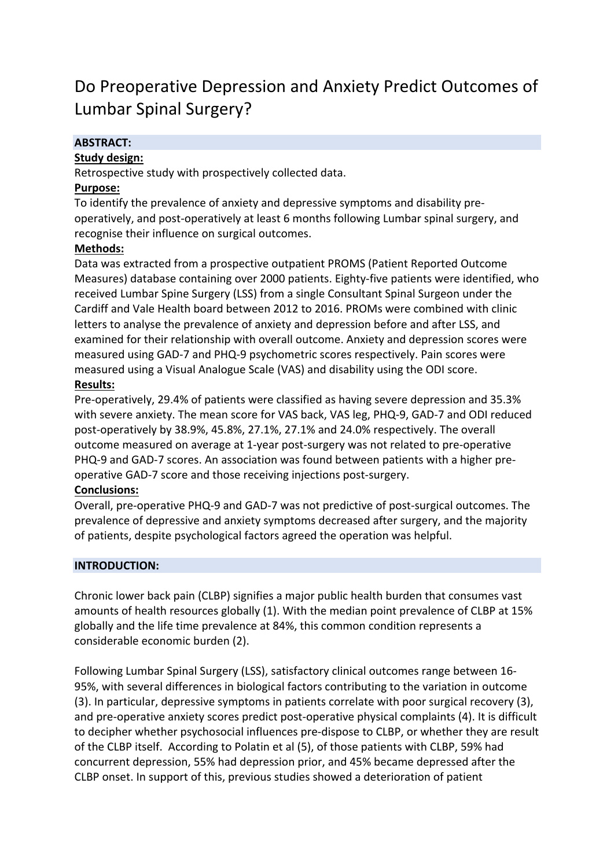# Do Preoperative Depression and Anxiety Predict Outcomes of Lumbar Spinal Surgery?

# **ABSTRACT:**

# **Study design:**

Retrospective study with prospectively collected data.

### **Purpose:**

To identify the prevalence of anxiety and depressive symptoms and disability preoperatively, and post-operatively at least 6 months following Lumbar spinal surgery, and recognise their influence on surgical outcomes.

# **Methods:**

Data was extracted from a prospective outpatient PROMS (Patient Reported Outcome Measures) database containing over 2000 patients. Eighty-five patients were identified, who received Lumbar Spine Surgery (LSS) from a single Consultant Spinal Surgeon under the Cardiff and Vale Health board between 2012 to 2016. PROMs were combined with clinic letters to analyse the prevalence of anxiety and depression before and after LSS, and examined for their relationship with overall outcome. Anxiety and depression scores were measured using GAD-7 and PHQ-9 psychometric scores respectively. Pain scores were measured using a Visual Analogue Scale (VAS) and disability using the ODI score.

# **Results:**

Pre-operatively, 29.4% of patients were classified as having severe depression and 35.3% with severe anxiety. The mean score for VAS back, VAS leg, PHQ-9, GAD-7 and ODI reduced post-operatively by 38.9%, 45.8%, 27.1%, 27.1% and 24.0% respectively. The overall outcome measured on average at 1-year post-surgery was not related to pre-operative PHQ-9 and GAD-7 scores. An association was found between patients with a higher preoperative GAD-7 score and those receiving injections post-surgery.

### **Conclusions:**

Overall, pre-operative PHQ-9 and GAD-7 was not predictive of post-surgical outcomes. The prevalence of depressive and anxiety symptoms decreased after surgery, and the majority of patients, despite psychological factors agreed the operation was helpful.

### **INTRODUCTION:**

Chronic lower back pain (CLBP) signifies a major public health burden that consumes vast amounts of health resources globally (1). With the median point prevalence of CLBP at 15% globally and the life time prevalence at 84%, this common condition represents a considerable economic burden (2).

Following Lumbar Spinal Surgery (LSS), satisfactory clinical outcomes range between 16- 95%, with several differences in biological factors contributing to the variation in outcome (3). In particular, depressive symptoms in patients correlate with poor surgical recovery (3), and pre-operative anxiety scores predict post-operative physical complaints (4). It is difficult to decipher whether psychosocial influences pre-dispose to CLBP, or whether they are result of the CLBP itself. According to Polatin et al (5), of those patients with CLBP, 59% had concurrent depression, 55% had depression prior, and 45% became depressed after the CLBP onset. In support of this, previous studies showed a deterioration of patient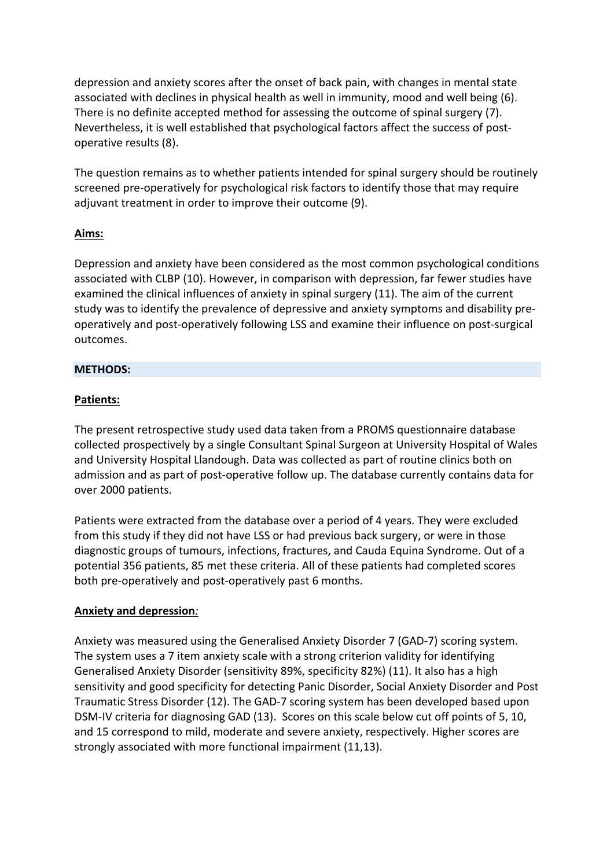depression and anxiety scores after the onset of back pain, with changes in mental state associated with declines in physical health as well in immunity, mood and well being (6). There is no definite accepted method for assessing the outcome of spinal surgery (7). Nevertheless, it is well established that psychological factors affect the success of postoperative results (8).

The question remains as to whether patients intended for spinal surgery should be routinely screened pre-operatively for psychological risk factors to identify those that may require adjuvant treatment in order to improve their outcome (9).

# **Aims:**

Depression and anxiety have been considered as the most common psychological conditions associated with CLBP (10). However, in comparison with depression, far fewer studies have examined the clinical influences of anxiety in spinal surgery (11). The aim of the current study was to identify the prevalence of depressive and anxiety symptoms and disability preoperatively and post-operatively following LSS and examine their influence on post-surgical outcomes.

# **METHODS:**

# **Patients:**

The present retrospective study used data taken from a PROMS questionnaire database collected prospectively by a single Consultant Spinal Surgeon at University Hospital of Wales and University Hospital Llandough. Data was collected as part of routine clinics both on admission and as part of post-operative follow up. The database currently contains data for over 2000 patients.

Patients were extracted from the database over a period of 4 years. They were excluded from this study if they did not have LSS or had previous back surgery, or were in those diagnostic groups of tumours, infections, fractures, and Cauda Equina Syndrome. Out of a potential 356 patients, 85 met these criteria. All of these patients had completed scores both pre-operatively and post-operatively past 6 months.

### **Anxiety and depression***:*

Anxiety was measured using the Generalised Anxiety Disorder 7 (GAD-7) scoring system. The system uses a 7 item anxiety scale with a strong criterion validity for identifying Generalised Anxiety Disorder (sensitivity 89%, specificity 82%) (11). It also has a high sensitivity and good specificity for detecting Panic Disorder, Social Anxiety Disorder and Post Traumatic Stress Disorder (12). The GAD-7 scoring system has been developed based upon DSM-IV criteria for diagnosing GAD (13). Scores on this scale below cut off points of 5, 10, and 15 correspond to mild, moderate and severe anxiety, respectively. Higher scores are strongly associated with more functional impairment (11,13).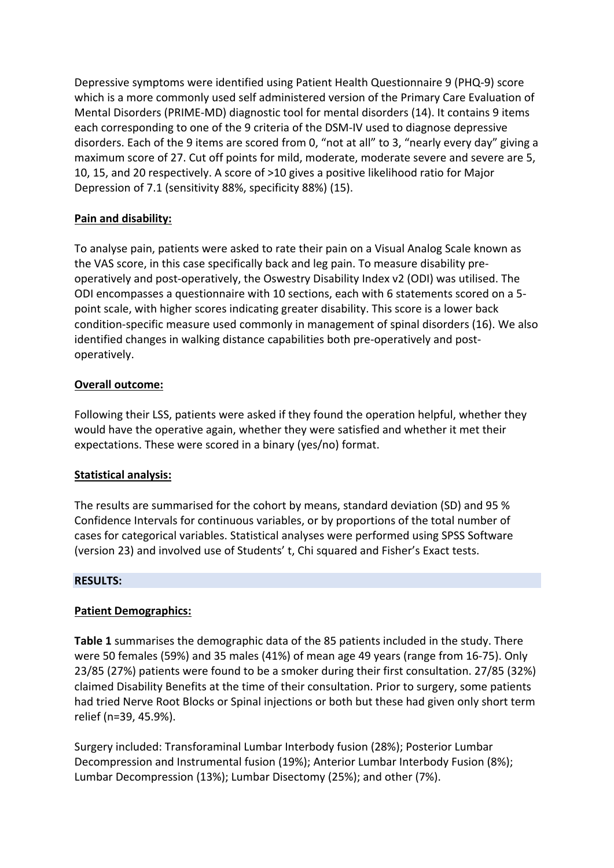Depressive symptoms were identified using Patient Health Questionnaire 9 (PHQ-9) score which is a more commonly used self administered version of the Primary Care Evaluation of Mental Disorders (PRIME-MD) diagnostic tool for mental disorders (14). It contains 9 items each corresponding to one of the 9 criteria of the DSM-IV used to diagnose depressive disorders. Each of the 9 items are scored from 0, "not at all" to 3, "nearly every day" giving a maximum score of 27. Cut off points for mild, moderate, moderate severe and severe are 5, 10, 15, and 20 respectively. A score of >10 gives a positive likelihood ratio for Major Depression of 7.1 (sensitivity 88%, specificity 88%) (15).

# **Pain and disability:**

To analyse pain, patients were asked to rate their pain on a Visual Analog Scale known as the VAS score, in this case specifically back and leg pain. To measure disability preoperatively and post-operatively, the Oswestry Disability Index v2 (ODI) was utilised. The ODI encompasses a questionnaire with 10 sections, each with 6 statements scored on a 5 point scale, with higher scores indicating greater disability. This score is a lower back condition-specific measure used commonly in management of spinal disorders (16). We also identified changes in walking distance capabilities both pre-operatively and postoperatively.

# **Overall outcome:**

Following their LSS, patients were asked if they found the operation helpful, whether they would have the operative again, whether they were satisfied and whether it met their expectations. These were scored in a binary (yes/no) format.

# **Statistical analysis:**

The results are summarised for the cohort by means, standard deviation (SD) and 95 % Confidence Intervals for continuous variables, or by proportions of the total number of cases for categorical variables. Statistical analyses were performed using SPSS Software (version 23) and involved use of Students' t, Chi squared and Fisher's Exact tests.

# **RESULTS:**

# **Patient Demographics:**

**Table 1** summarises the demographic data of the 85 patients included in the study. There were 50 females (59%) and 35 males (41%) of mean age 49 years (range from 16-75). Only 23/85 (27%) patients were found to be a smoker during their first consultation. 27/85 (32%) claimed Disability Benefits at the time of their consultation. Prior to surgery, some patients had tried Nerve Root Blocks or Spinal injections or both but these had given only short term relief (n=39, 45.9%).

Surgery included: Transforaminal Lumbar Interbody fusion (28%); Posterior Lumbar Decompression and Instrumental fusion (19%); Anterior Lumbar Interbody Fusion (8%); Lumbar Decompression (13%); Lumbar Disectomy (25%); and other (7%).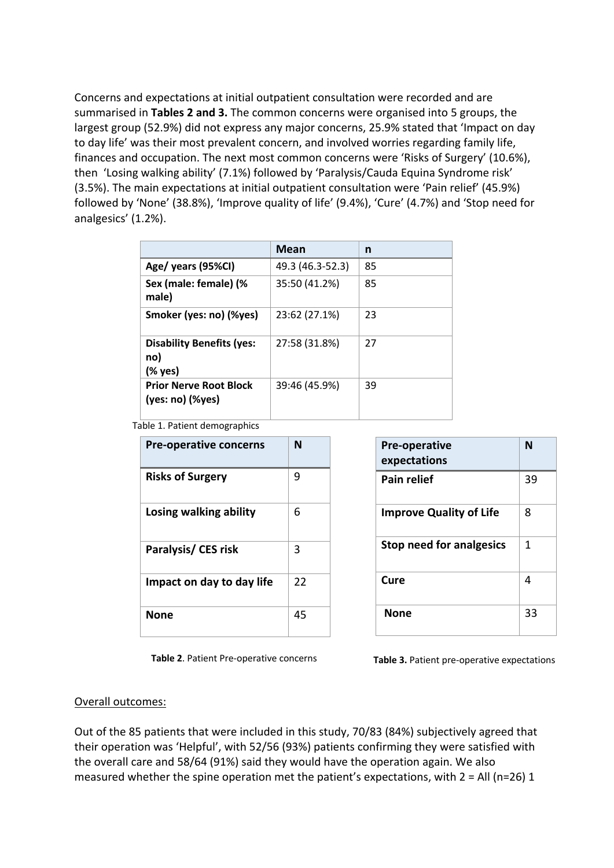Concerns and expectations at initial outpatient consultation were recorded and are summarised in **Tables 2 and 3.** The common concerns were organised into 5 groups, the largest group (52.9%) did not express any major concerns, 25.9% stated that 'Impact on day to day life' was their most prevalent concern, and involved worries regarding family life, finances and occupation. The next most common concerns were 'Risks of Surgery' (10.6%), then 'Losing walking ability' (7.1%) followed by 'Paralysis/Cauda Equina Syndrome risk' (3.5%). The main expectations at initial outpatient consultation were 'Pain relief' (45.9%) followed by 'None' (38.8%), 'Improve quality of life' (9.4%), 'Cure' (4.7%) and 'Stop need for analgesics' (1.2%).

|                                                        | Mean             | n  |
|--------------------------------------------------------|------------------|----|
| Age/ years (95%CI)                                     | 49.3 (46.3-52.3) | 85 |
| Sex (male: female) (%<br>male)                         | 35:50 (41.2%)    | 85 |
| Smoker (yes: no) (%yes)                                | 23:62 (27.1%)    | 23 |
| <b>Disability Benefits (yes:</b><br>no)<br>(% yes)     | 27:58 (31.8%)    | 27 |
| <b>Prior Nerve Root Block</b><br>$(yes: no)$ $(\%yes)$ | 39:46 (45.9%)    | 39 |

Table 1. Patient demographics

| <b>Pre-operative concerns</b> | N  |
|-------------------------------|----|
| <b>Risks of Surgery</b>       | 9  |
| Losing walking ability        | 6  |
| Paralysis/ CES risk           | 3  |
| Impact on day to day life     | 22 |
| None                          | 45 |

| <b>Pre-operative</b><br>expectations | N  |
|--------------------------------------|----|
| <b>Pain relief</b>                   | 39 |
| <b>Improve Quality of Life</b>       | 8  |
| <b>Stop need for analgesics</b>      | 1  |
| Cure                                 | 4  |
| None                                 | 33 |

**Table 2**. Patient Pre-operative concerns **Table 3.** Patient pre-operative expectations

#### Overall outcomes:

Out of the 85 patients that were included in this study, 70/83 (84%) subjectively agreed that their operation was 'Helpful', with 52/56 (93%) patients confirming they were satisfied with the overall care and 58/64 (91%) said they would have the operation again. We also measured whether the spine operation met the patient's expectations, with  $2 = All (n=26) 1$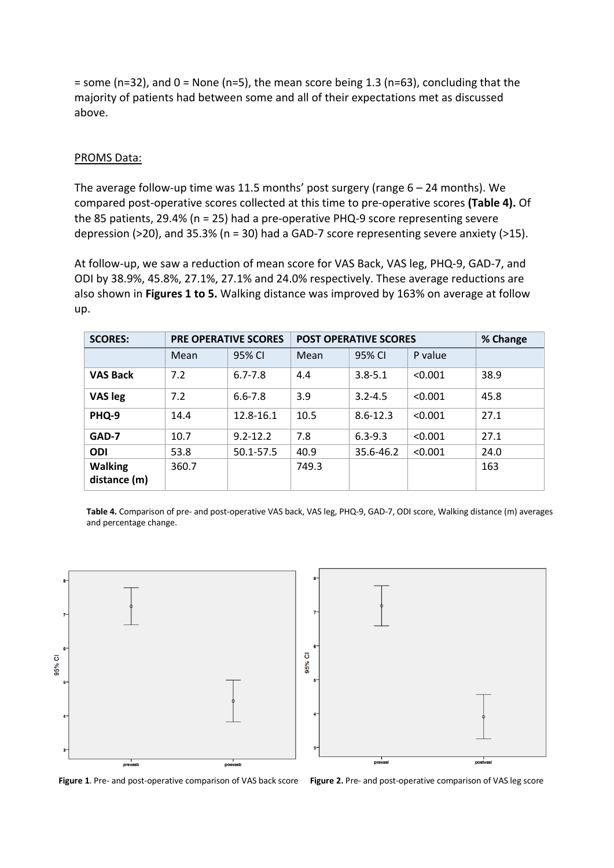$=$  some (n=32), and 0 = None (n=5), the mean score being 1.3 (n=63), concluding that the majority of patients had between some and all of their expectations met as discussed above.

#### PROMS Data:

The average follow-up time was 11.5 months' post surgery (range  $6 - 24$  months). We compared post-operative scores collected at this time to pre-operative scores **(Table 4).** Of the 85 patients, 29.4% (n = 25) had a pre-operative PHQ-9 score representing severe depression (>20), and 35.3% (n = 30) had a GAD-7 score representing severe anxiety (>15).

At follow-up, we saw a reduction of mean score for VAS Back, VAS leg, PHQ-9, GAD-7, and ODI by 38.9%, 45.8%, 27.1%, 27.1% and 24.0% respectively. These average reductions are also shown in **Figures 1 to 5.** Walking distance was improved by 163% on average at follow up.

| <b>SCORES:</b>                 |       | <b>PRE OPERATIVE SCORES</b> | <b>POST OPERATIVE SCORES</b> | % Change     |         |      |
|--------------------------------|-------|-----------------------------|------------------------------|--------------|---------|------|
|                                | Mean  | 95% CI                      | Mean                         | 95% CI       | P value |      |
| <b>VAS Back</b>                | 7.2   | $6.7 - 7.8$                 | 4.4                          | $3.8 - 5.1$  | < 0.001 | 38.9 |
| <b>VAS leg</b>                 | 7.2   | $6.6 - 7.8$                 | 3.9                          | $3.2 - 4.5$  | < 0.001 | 45.8 |
| PHQ-9                          | 14.4  | 12.8-16.1                   | 10.5                         | $8.6 - 12.3$ | < 0.001 | 27.1 |
| GAD-7                          | 10.7  | $9.2 - 12.2$                | 7.8                          | $6.3 - 9.3$  | < 0.001 | 27.1 |
| <b>ODI</b>                     | 53.8  | 50.1-57.5                   | 40.9                         | 35.6-46.2    | < 0.001 | 24.0 |
| <b>Walking</b><br>distance (m) | 360.7 |                             | 749.3                        |              |         | 163  |

**Table 4.** Comparison of pre- and post-operative VAS back, VAS leg, PHQ-9, GAD-7, ODI score, Walking distance (m) averages and percentage change.



**Figure 1**. Pre- and post-operative comparison of VAS back score **Figure 2.** Pre- and post-operative comparison of VAS leg score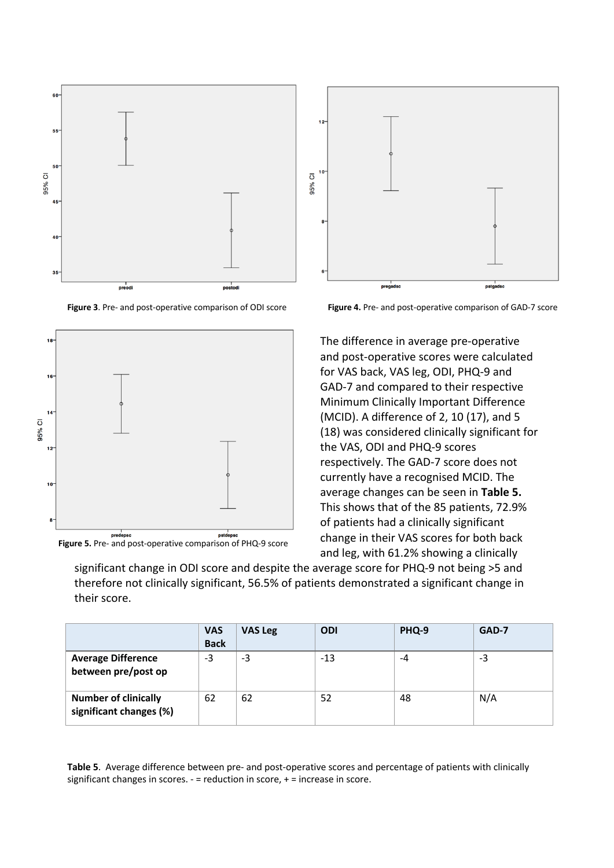

**Figure 3**. Pre- and post-operative comparison of ODI score







**Figure 4.** Pre- and post-operative comparison of GAD-7 score

The difference in average pre-operative and post-operative scores were calculated for VAS back, VAS leg, ODI, PHQ-9 and GAD-7 and compared to their respective Minimum Clinically Important Difference (MCID). A difference of 2, 10 (17), and 5 (18) was considered clinically significant for the VAS, ODI and PHQ-9 scores respectively. The GAD-7 score does not currently have a recognised MCID. The average changes can be seen in **Table 5.**  This shows that of the 85 patients, 72.9% of patients had a clinically significant change in their VAS scores for both back and leg, with 61.2% showing a clinically

significant change in ODI score and despite the average score for PHQ-9 not being >5 and therefore not clinically significant, 56.5% of patients demonstrated a significant change in their score.

|                                                        | <b>VAS</b><br><b>Back</b> | <b>VAS Leg</b> | <b>ODI</b> | PHQ-9 | GAD-7 |
|--------------------------------------------------------|---------------------------|----------------|------------|-------|-------|
| <b>Average Difference</b><br>between pre/post op       | $-3$                      | -3             | $-13$      | -4    | -3    |
| <b>Number of clinically</b><br>significant changes (%) | 62                        | 62             | 52         | 48    | N/A   |

**Table 5**. Average difference between pre- and post-operative scores and percentage of patients with clinically significant changes in scores. - = reduction in score, + = increase in score.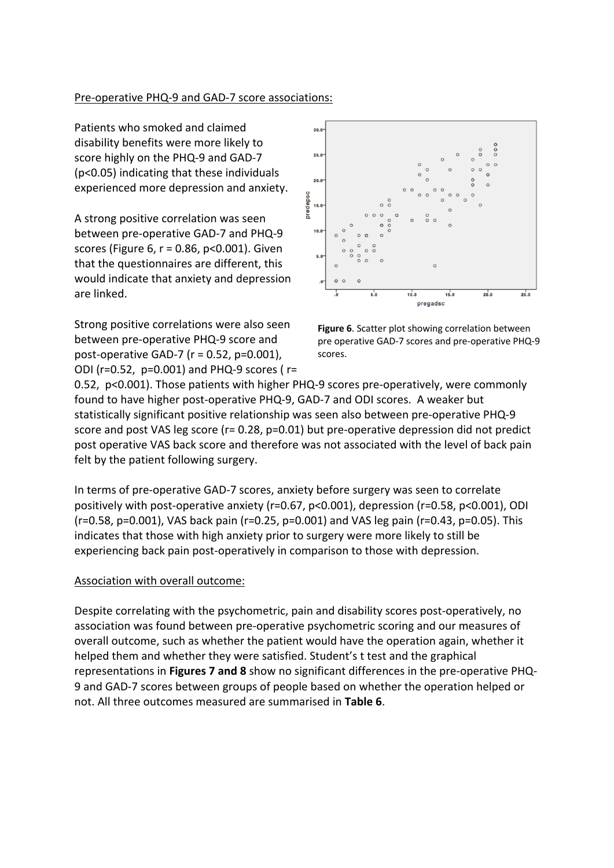### Pre-operative PHQ-9 and GAD-7 score associations:

Patients who smoked and claimed disability benefits were more likely to score highly on the PHQ-9 and GAD-7 (p<0.05) indicating that these individuals experienced more depression and anxiety.

A strong positive correlation was seen between pre-operative GAD-7 and PHQ-9 scores (Figure 6, r = 0.86, p<0.001). Given that the questionnaires are different, this would indicate that anxiety and depression are linked.

Strong positive correlations were also seen between pre-operative PHQ-9 score and post-operative GAD-7 (r = 0.52, p=0.001), ODI (r=0.52, p=0.001) and PHQ-9 scores ( r=



**Figure 6**. Scatter plot showing correlation between pre operative GAD-7 scores and pre-operative PHQ-9 scores.

0.52, p<0.001). Those patients with higher PHQ-9 scores pre-operatively, were commonly found to have higher post-operative PHQ-9, GAD-7 and ODI scores. A weaker but statistically significant positive relationship was seen also between pre-operative PHQ-9 score and post VAS leg score (r= 0.28, p=0.01) but pre-operative depression did not predict post operative VAS back score and therefore was not associated with the level of back pain felt by the patient following surgery.

In terms of pre-operative GAD-7 scores, anxiety before surgery was seen to correlate positively with post-operative anxiety (r=0.67, p<0.001), depression (r=0.58, p<0.001), ODI (r=0.58, p=0.001), VAS back pain (r=0.25, p=0.001) and VAS leg pain (r=0.43, p=0.05). This indicates that those with high anxiety prior to surgery were more likely to still be experiencing back pain post-operatively in comparison to those with depression.

#### Association with overall outcome:

Despite correlating with the psychometric, pain and disability scores post-operatively, no association was found between pre-operative psychometric scoring and our measures of overall outcome, such as whether the patient would have the operation again, whether it helped them and whether they were satisfied. Student's t test and the graphical representations in **Figures 7 and 8** show no significant differences in the pre-operative PHQ-9 and GAD-7 scores between groups of people based on whether the operation helped or not. All three outcomes measured are summarised in **Table 6**.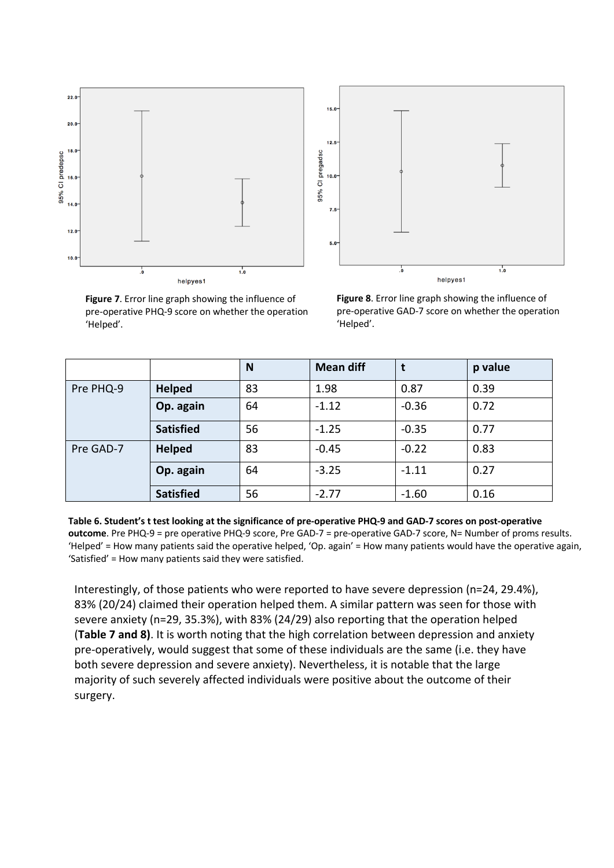

**Figure 7**. Error line graph showing the influence of pre-operative PHQ-9 score on whether the operation 'Helped'.



**Figure 8**. Error line graph showing the influence of pre-operative GAD-7 score on whether the operation 'Helped'.

|           |                  | N  | <b>Mean diff</b> |         | p value |
|-----------|------------------|----|------------------|---------|---------|
| Pre PHQ-9 | <b>Helped</b>    | 83 | 1.98             | 0.87    | 0.39    |
|           | Op. again        | 64 | $-1.12$          | $-0.36$ | 0.72    |
|           | <b>Satisfied</b> | 56 | $-1.25$          | $-0.35$ | 0.77    |
| Pre GAD-7 | <b>Helped</b>    | 83 | $-0.45$          | $-0.22$ | 0.83    |
|           | Op. again        | 64 | $-3.25$          | $-1.11$ | 0.27    |
|           | <b>Satisfied</b> | 56 | $-2.77$          | $-1.60$ | 0.16    |

**Table 6. Student's t test looking at the significance of pre-operative PHQ-9 and GAD-7 scores on post-operative outcome**. Pre PHQ-9 = pre operative PHQ-9 score, Pre GAD-7 = pre-operative GAD-7 score, N= Number of proms results. 'Helped' = How many patients said the operative helped, 'Op. again' = How many patients would have the operative again, 'Satisfied' = How many patients said they were satisfied.

Interestingly, of those patients who were reported to have severe depression (n=24, 29.4%), 83% (20/24) claimed their operation helped them. A similar pattern was seen for those with severe anxiety (n=29, 35.3%), with 83% (24/29) also reporting that the operation helped (**Table 7 and 8)**. It is worth noting that the high correlation between depression and anxiety pre-operatively, would suggest that some of these individuals are the same (i.e. they have both severe depression and severe anxiety). Nevertheless, it is notable that the large majority of such severely affected individuals were positive about the outcome of their surgery.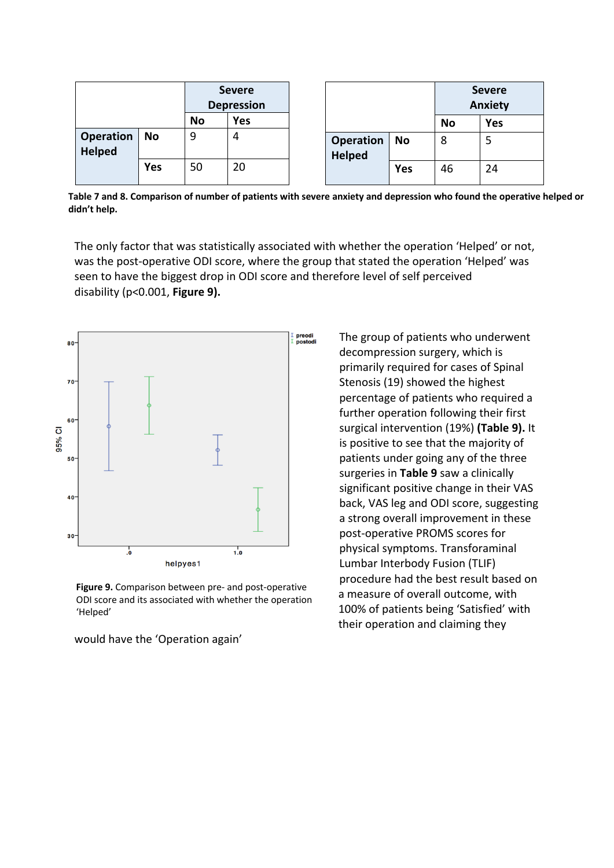|                                   |            |           | <b>Severe</b><br><b>Depression</b> |  |                                   | <b>Severe</b><br><b>Anxiety</b> |           |            |
|-----------------------------------|------------|-----------|------------------------------------|--|-----------------------------------|---------------------------------|-----------|------------|
|                                   |            | <b>No</b> | <b>Yes</b>                         |  |                                   |                                 | <b>No</b> | <b>Yes</b> |
| <b>Operation</b><br><b>Helped</b> | <b>No</b>  | 9         | 4                                  |  | <b>Operation</b><br><b>Helped</b> | <b>No</b>                       | 8         | 5          |
|                                   | <b>Yes</b> | 50        | 20                                 |  |                                   | Yes                             | 46        | 24         |

**Table 7 and 8. Comparison of number of patients with severe anxiety and depression who found the operative helped or didn't help.**

The only factor that was statistically associated with whether the operation 'Helped' or not, was the post-operative ODI score, where the group that stated the operation 'Helped' was seen to have the biggest drop in ODI score and therefore level of self perceived disability (p<0.001, **Figure 9).**



**Figure 9.** Comparison between pre- and post-operative ODI score and its associated with whether the operation 'Helped'

would have the 'Operation again'

The group of patients who underwent decompression surgery, which is primarily required for cases of Spinal Stenosis (19) showed the highest percentage of patients who required a further operation following their first surgical intervention (19%) **(Table 9).** It is positive to see that the majority of patients under going any of the three surgeries in **Table 9** saw a clinically significant positive change in their VAS back, VAS leg and ODI score, suggesting a strong overall improvement in these post-operative PROMS scores for physical symptoms. Transforaminal Lumbar Interbody Fusion (TLIF) procedure had the best result based on a measure of overall outcome, with 100% of patients being 'Satisfied' with their operation and claiming they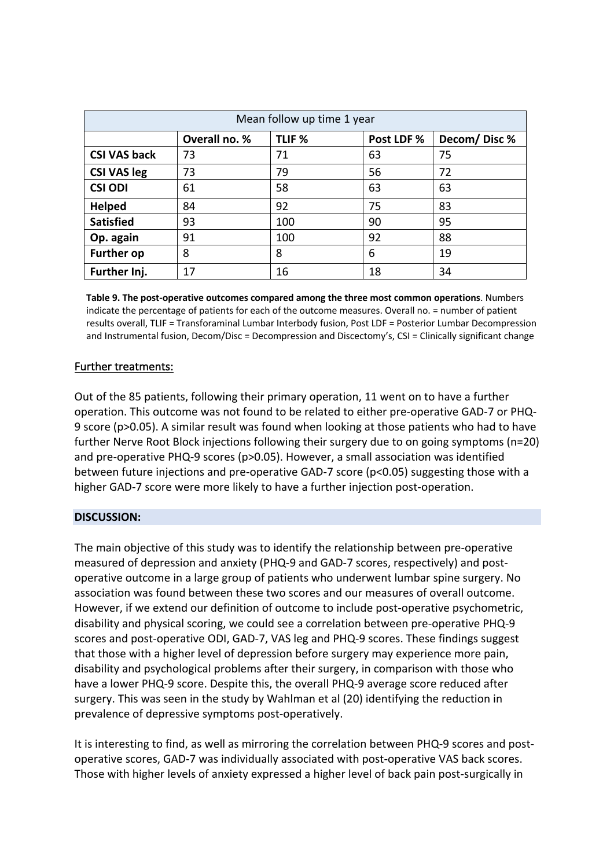| Mean follow up time 1 year |                                                                 |     |    |    |  |  |  |  |
|----------------------------|-----------------------------------------------------------------|-----|----|----|--|--|--|--|
|                            | Overall no. %<br>TLIF <sub>%</sub><br>Decom/Disc%<br>Post LDF % |     |    |    |  |  |  |  |
| <b>CSI VAS back</b>        | 73                                                              | 71  | 63 | 75 |  |  |  |  |
| <b>CSI VAS leg</b>         | 73                                                              | 79  | 56 | 72 |  |  |  |  |
| <b>CSI ODI</b>             | 61                                                              | 58  | 63 | 63 |  |  |  |  |
| <b>Helped</b>              | 84                                                              | 92  | 75 | 83 |  |  |  |  |
| <b>Satisfied</b>           | 93                                                              | 100 | 90 | 95 |  |  |  |  |
| Op. again                  | 91                                                              | 100 | 92 | 88 |  |  |  |  |
| <b>Further op</b>          | 8                                                               | 8   | 6  | 19 |  |  |  |  |
| Further Inj.               | 17                                                              | 16  | 18 | 34 |  |  |  |  |

**Table 9. The post-operative outcomes compared among the three most common operations**. Numbers indicate the percentage of patients for each of the outcome measures. Overall no. = number of patient results overall, TLIF = Transforaminal Lumbar Interbody fusion, Post LDF = Posterior Lumbar Decompression and Instrumental fusion, Decom/Disc = Decompression and Discectomy's, CSI = Clinically significant change

# Further treatments:

Out of the 85 patients, following their primary operation, 11 went on to have a further operation. This outcome was not found to be related to either pre-operative GAD-7 or PHQ-9 score (p>0.05). A similar result was found when looking at those patients who had to have further Nerve Root Block injections following their surgery due to on going symptoms (n=20) and pre-operative PHQ-9 scores (p>0.05). However, a small association was identified between future injections and pre-operative GAD-7 score (p<0.05) suggesting those with a higher GAD-7 score were more likely to have a further injection post-operation.

### **DISCUSSION:**

The main objective of this study was to identify the relationship between pre-operative measured of depression and anxiety (PHQ-9 and GAD-7 scores, respectively) and postoperative outcome in a large group of patients who underwent lumbar spine surgery. No association was found between these two scores and our measures of overall outcome. However, if we extend our definition of outcome to include post-operative psychometric, disability and physical scoring, we could see a correlation between pre-operative PHQ-9 scores and post-operative ODI, GAD-7, VAS leg and PHQ-9 scores. These findings suggest that those with a higher level of depression before surgery may experience more pain, disability and psychological problems after their surgery, in comparison with those who have a lower PHQ-9 score. Despite this, the overall PHQ-9 average score reduced after surgery. This was seen in the study by Wahlman et al (20) identifying the reduction in prevalence of depressive symptoms post-operatively.

It is interesting to find, as well as mirroring the correlation between PHQ-9 scores and postoperative scores, GAD-7 was individually associated with post-operative VAS back scores. Those with higher levels of anxiety expressed a higher level of back pain post-surgically in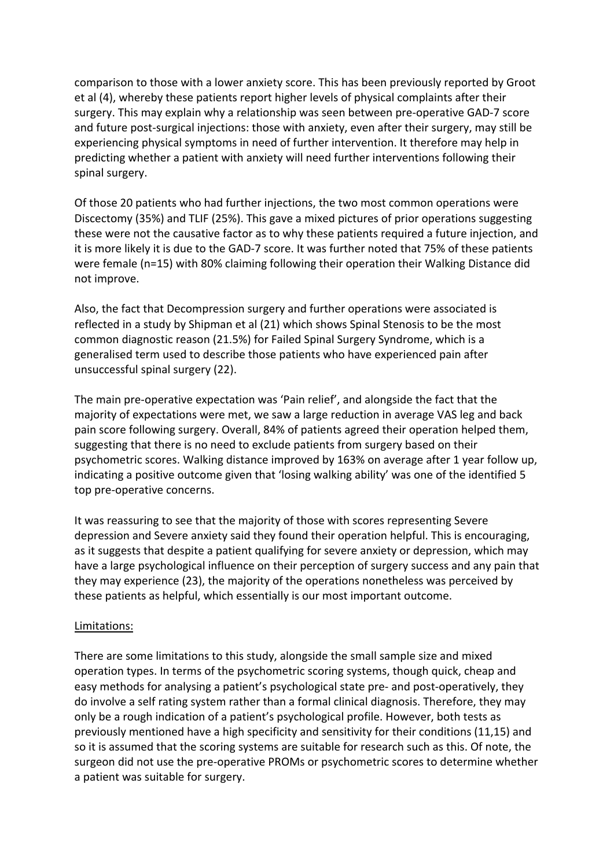comparison to those with a lower anxiety score. This has been previously reported by Groot et al (4), whereby these patients report higher levels of physical complaints after their surgery. This may explain why a relationship was seen between pre-operative GAD-7 score and future post-surgical injections: those with anxiety, even after their surgery, may still be experiencing physical symptoms in need of further intervention. It therefore may help in predicting whether a patient with anxiety will need further interventions following their spinal surgery.

Of those 20 patients who had further injections, the two most common operations were Discectomy (35%) and TLIF (25%). This gave a mixed pictures of prior operations suggesting these were not the causative factor as to why these patients required a future injection, and it is more likely it is due to the GAD-7 score. It was further noted that 75% of these patients were female (n=15) with 80% claiming following their operation their Walking Distance did not improve.

Also, the fact that Decompression surgery and further operations were associated is reflected in a study by Shipman et al (21) which shows Spinal Stenosis to be the most common diagnostic reason (21.5%) for Failed Spinal Surgery Syndrome, which is a generalised term used to describe those patients who have experienced pain after unsuccessful spinal surgery (22).

The main pre-operative expectation was 'Pain relief', and alongside the fact that the majority of expectations were met, we saw a large reduction in average VAS leg and back pain score following surgery. Overall, 84% of patients agreed their operation helped them, suggesting that there is no need to exclude patients from surgery based on their psychometric scores. Walking distance improved by 163% on average after 1 year follow up, indicating a positive outcome given that 'losing walking ability' was one of the identified 5 top pre-operative concerns.

It was reassuring to see that the majority of those with scores representing Severe depression and Severe anxiety said they found their operation helpful. This is encouraging, as it suggests that despite a patient qualifying for severe anxiety or depression, which may have a large psychological influence on their perception of surgery success and any pain that they may experience (23), the majority of the operations nonetheless was perceived by these patients as helpful, which essentially is our most important outcome.

### Limitations:

There are some limitations to this study, alongside the small sample size and mixed operation types. In terms of the psychometric scoring systems, though quick, cheap and easy methods for analysing a patient's psychological state pre- and post-operatively, they do involve a self rating system rather than a formal clinical diagnosis. Therefore, they may only be a rough indication of a patient's psychological profile. However, both tests as previously mentioned have a high specificity and sensitivity for their conditions (11,15) and so it is assumed that the scoring systems are suitable for research such as this. Of note, the surgeon did not use the pre-operative PROMs or psychometric scores to determine whether a patient was suitable for surgery.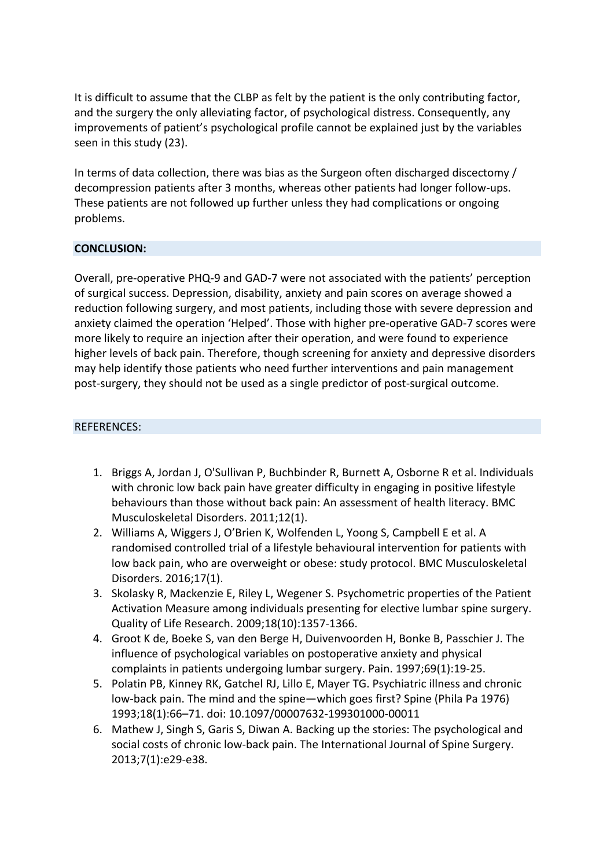It is difficult to assume that the CLBP as felt by the patient is the only contributing factor, and the surgery the only alleviating factor, of psychological distress. Consequently, any improvements of patient's psychological profile cannot be explained just by the variables seen in this study (23).

In terms of data collection, there was bias as the Surgeon often discharged discectomy / decompression patients after 3 months, whereas other patients had longer follow-ups. These patients are not followed up further unless they had complications or ongoing problems.

# **CONCLUSION:**

Overall, pre-operative PHQ-9 and GAD-7 were not associated with the patients' perception of surgical success. Depression, disability, anxiety and pain scores on average showed a reduction following surgery, and most patients, including those with severe depression and anxiety claimed the operation 'Helped'. Those with higher pre-operative GAD-7 scores were more likely to require an injection after their operation, and were found to experience higher levels of back pain. Therefore, though screening for anxiety and depressive disorders may help identify those patients who need further interventions and pain management post-surgery, they should not be used as a single predictor of post-surgical outcome.

### REFERENCES:

- 1. Briggs A, Jordan J, O'Sullivan P, Buchbinder R, Burnett A, Osborne R et al. Individuals with chronic low back pain have greater difficulty in engaging in positive lifestyle behaviours than those without back pain: An assessment of health literacy. BMC Musculoskeletal Disorders. 2011;12(1).
- 2. Williams A, Wiggers J, O'Brien K, Wolfenden L, Yoong S, Campbell E et al. A randomised controlled trial of a lifestyle behavioural intervention for patients with low back pain, who are overweight or obese: study protocol. BMC Musculoskeletal Disorders. 2016;17(1).
- 3. Skolasky R, Mackenzie E, Riley L, Wegener S. Psychometric properties of the Patient Activation Measure among individuals presenting for elective lumbar spine surgery. Quality of Life Research. 2009;18(10):1357-1366.
- 4. Groot K de, Boeke S, van den Berge H, Duivenvoorden H, Bonke B, Passchier J. The influence of psychological variables on postoperative anxiety and physical complaints in patients undergoing lumbar surgery. Pain. 1997;69(1):19-25.
- 5. Polatin PB, Kinney RK, Gatchel RJ, Lillo E, Mayer TG. Psychiatric illness and chronic low-back pain. The mind and the spine—which goes first? Spine (Phila Pa 1976) 1993;18(1):66–71. doi: 10.1097/00007632-199301000-00011
- 6. Mathew J, Singh S, Garis S, Diwan A. Backing up the stories: The psychological and social costs of chronic low-back pain. The International Journal of Spine Surgery. 2013;7(1):e29-e38.